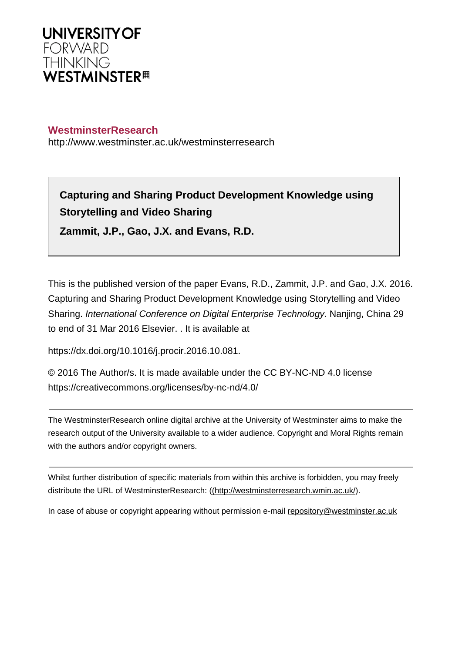

# **WestminsterResearch**

http://www.westminster.ac.uk/westminsterresearch

**Capturing and Sharing Product Development Knowledge using Storytelling and Video Sharing**

**Zammit, J.P., Gao, J.X. and Evans, R.D.**

This is the published version of the paper Evans, R.D., Zammit, J.P. and Gao, J.X. 2016. Capturing and Sharing Product Development Knowledge using Storytelling and Video Sharing. International Conference on Digital Enterprise Technology. Nanjing, China 29 to end of 31 Mar 2016 Elsevier. . It is available at

<https://dx.doi.org/10.1016/j.procir.2016.10.081.>

© 2016 The Author/s. It is made available under the CC BY-NC-ND 4.0 license <https://creativecommons.org/licenses/by-nc-nd/4.0/>

The WestminsterResearch online digital archive at the University of Westminster aims to make the research output of the University available to a wider audience. Copyright and Moral Rights remain with the authors and/or copyright owners.

Whilst further distribution of specific materials from within this archive is forbidden, you may freely distribute the URL of WestminsterResearch: [\(\(http://westminsterresearch.wmin.ac.uk/](http://westminsterresearch.wmin.ac.uk/)).

In case of abuse or copyright appearing without permission e-mail <repository@westminster.ac.uk>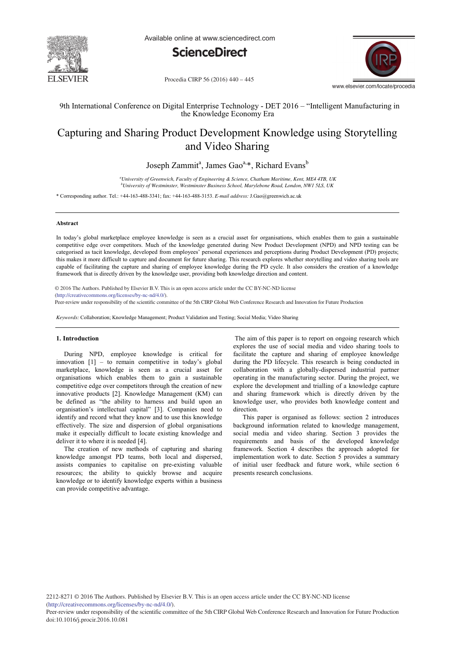

Available online at www.sciencedirect.com





Procedia CIRP 56 (2016) 440 - 445

9th International Conference on Digital Enterprise Technology - DET 2016 – "Intelligent Manufacturing in the Knowledge Economy Era

# Capturing and Sharing Product Development Knowledge using Storytelling and Video Sharing

Joseph Zammit<sup>a</sup>, James Gao<sup>a,\*</sup>, Richard Evans<sup>b</sup>

*a University of Greenwich, Faculty of Engineering & Science, Chatham Maritime, Kent, ME4 4TB, UK b University of Westminster, Westminster Business School, Marylebone Road, London, NW1 5LS, UK* 

\* Corresponding author. Tel.: +44-163-488-3341; fax: +44-163-488-3153. *E-mail address:* J.Gao@greenwich.ac.uk

#### **Abstract**

In today's global marketplace employee knowledge is seen as a crucial asset for organisations, which enables them to gain a sustainable competitive edge over competitors. Much of the knowledge generated during New Product Development (NPD) and NPD testing can be categorised as tacit knowledge, developed from employees' personal experiences and perceptions during Product Development (PD) projects; this makes it more difficult to capture and document for future sharing. This research explores whether storytelling and video sharing tools are capable of facilitating the capture and sharing of employee knowledge during the PD cycle. It also considers the creation of a knowledge framework that is directly driven by the knowledge user, providing both knowledge direction and content.

© 2016 The Authors. Published by Elsevier B.V. © 2016 The Authors. Published by Elsevier B.V. This is an open access article under the CC BY-NC-ND license (http://creativecommons.org/licenses/by-nc-nd/4.0/).

Peer-review under responsibility of the scientific committee of the 5th CIRP Global Web Conference Research and Innovation for Future Production

*Keywords:* Collaboration; Knowledge Management; Product Validation and Testing; Social Media; Video Sharing

#### **1. Introduction**

During NPD, employee knowledge is critical for innovation  $[1]$  – to remain competitive in today's global marketplace, knowledge is seen as a crucial asset for organisations which enables them to gain a sustainable competitive edge over competitors through the creation of new innovative products [2]. Knowledge Management (KM) can be defined as "the ability to harness and build upon an organisation's intellectual capital" [3]. Companies need to identify and record what they know and to use this knowledge effectively. The size and dispersion of global organisations make it especially difficult to locate existing knowledge and deliver it to where it is needed [4].

The creation of new methods of capturing and sharing knowledge amongst PD teams, both local and dispersed, assists companies to capitalise on pre-existing valuable resources; the ability to quickly browse and acquire knowledge or to identify knowledge experts within a business can provide competitive advantage.

The aim of this paper is to report on ongoing research which explores the use of social media and video sharing tools to facilitate the capture and sharing of employee knowledge during the PD lifecycle. This research is being conducted in collaboration with a globally-dispersed industrial partner operating in the manufacturing sector. During the project, we explore the development and trialling of a knowledge capture and sharing framework which is directly driven by the knowledge user, who provides both knowledge content and direction.

This paper is organised as follows: section 2 introduces background information related to knowledge management, social media and video sharing. Section 3 provides the requirements and basis of the developed knowledge framework. Section 4 describes the approach adopted for implementation work to date. Section 5 provides a summary of initial user feedback and future work, while section 6 presents research conclusions.

2212-8271 © 2016 The Authors. Published by Elsevier B.V. This is an open access article under the CC BY-NC-ND license (http://creativecommons.org/licenses/by-nc-nd/4.0/).

Peer-review under responsibility of the scientific committee of the 5th CIRP Global Web Conference Research and Innovation for Future Production doi: 10.1016/j.procir.2016.10.081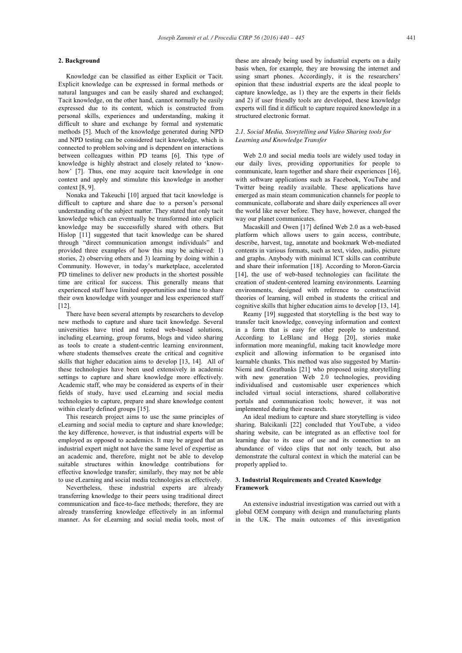#### **2. Background**

Knowledge can be classified as either Explicit or Tacit. Explicit knowledge can be expressed in formal methods or natural languages and can be easily shared and exchanged; Tacit knowledge, on the other hand, cannot normally be easily expressed due to its content, which is constructed from personal skills, experiences and understanding, making it difficult to share and exchange by formal and systematic methods [5]. Much of the knowledge generated during NPD and NPD testing can be considered tacit knowledge, which is connected to problem solving and is dependent on interactions between colleagues within PD teams [6]. This type of knowledge is highly abstract and closely related to 'knowhow' [7]. Thus, one may acquire tacit knowledge in one context and apply and stimulate this knowledge in another context [8, 9].

Nonaka and Takeuchi [10] argued that tacit knowledge is difficult to capture and share due to a person's personal understanding of the subject matter. They stated that only tacit knowledge which can eventually be transformed into explicit knowledge may be successfully shared with others. But Hislop [11] suggested that tacit knowledge can be shared through "direct communication amongst individuals" and provided three examples of how this may be achieved: 1) stories, 2) observing others and 3) learning by doing within a Community. However, in today's marketplace, accelerated PD timelines to deliver new products in the shortest possible time are critical for success. This generally means that experienced staff have limited opportunities and time to share their own knowledge with younger and less experienced staff [12].

There have been several attempts by researchers to develop new methods to capture and share tacit knowledge. Several universities have tried and tested web-based solutions, including eLearning, group forums, blogs and video sharing as tools to create a student-centric learning environment, where students themselves create the critical and cognitive skills that higher education aims to develop [13, 14]. All of these technologies have been used extensively in academic settings to capture and share knowledge more effectively. Academic staff, who may be considered as experts of in their fields of study, have used eLearning and social media technologies to capture, prepare and share knowledge content within clearly defined groups [15].

This research project aims to use the same principles of eLearning and social media to capture and share knowledge; the key difference, however, is that industrial experts will be employed as opposed to academics. It may be argued that an industrial expert might not have the same level of expertise as an academic and, therefore, might not be able to develop suitable structures within knowledge contributions for effective knowledge transfer; similarly, they may not be able to use eLearning and social media technologies as effectively.

Nevertheless, these industrial experts are already transferring knowledge to their peers using traditional direct communication and face-to-face methods; therefore, they are already transferring knowledge effectively in an informal manner. As for eLearning and social media tools, most of these are already being used by industrial experts on a daily basis when, for example, they are browsing the internet and using smart phones. Accordingly, it is the researchers' opinion that these industrial experts are the ideal people to capture knowledge, as 1) they are the experts in their fields and 2) if user friendly tools are developed, these knowledge experts will find it difficult to capture required knowledge in a structured electronic format.

#### *2.1. Social Media, Storytelling and Video Sharing tools for Learning and Knowledge Transfer*

Web 2.0 and social media tools are widely used today in our daily lives, providing opportunities for people to communicate, learn together and share their experiences [16], with software applications such as Facebook, YouTube and Twitter being readily available. These applications have emerged as main steam communication channels for people to communicate, collaborate and share daily experiences all over the world like never before. They have, however, changed the way our planet communicates.

Macaskill and Owen [17] defined Web 2.0 as a web-based platform which allows users to gain access, contribute, describe, harvest, tag, annotate and bookmark Web-mediated contents in various formats, such as text, video, audio, picture and graphs. Anybody with minimal ICT skills can contribute and share their information [18]. According to Moron-Garcia [14], the use of web-based technologies can facilitate the creation of student-centered learning environments. Learning environments, designed with reference to constructivist theories of learning, will embed in students the critical and cognitive skills that higher education aims to develop [13, 14].

Reamy [19] suggested that storytelling is the best way to transfer tacit knowledge, conveying information and context in a form that is easy for other people to understand. According to LeBlanc and Hogg [20], stories make information more meaningful, making tacit knowledge more explicit and allowing information to be organised into learnable chunks. This method was also suggested by Martin-Niemi and Greatbanks [21] who proposed using storytelling with new generation Web 2.0 technologies, providing individualised and customisable user experiences which included virtual social interactions, shared collaborative portals and communication tools; however, it was not implemented during their research.

An ideal medium to capture and share storytelling is video sharing. Balcikanli [22] concluded that YouTube, a video sharing website, can be integrated as an effective tool for learning due to its ease of use and its connection to an abundance of video clips that not only teach, but also demonstrate the cultural context in which the material can be properly applied to.

#### **3. Industrial Requirements and Created Knowledge Framework**

An extensive industrial investigation was carried out with a global OEM company with design and manufacturing plants in the UK. The main outcomes of this investigation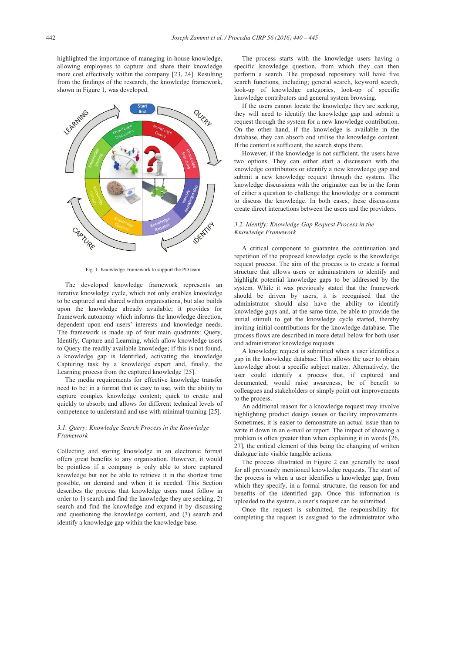highlighted the importance of managing in-house knowledge, allowing employees to capture and share their knowledge more cost effectively within the company [23, 24]. Resulting from the findings of the research, the knowledge framework, shown in Figure 1, was developed.



Fig. 1. Knowledge Framework to support the PD team.

The developed knowledge framework represents an iterative knowledge cycle, which not only enables knowledge to be captured and shared within organisations, but also builds upon the knowledge already available; it provides for framework autonomy which informs the knowledge direction, dependent upon end users' interests and knowledge needs. The framework is made up of four main quadrants: Query, Identify, Capture and Learning, which allow knowledge users to Query the readily available knowledge; if this is not found, a knowledge gap is Identified, activating the knowledge Capturing task by a knowledge expert and, finally, the Learning process from the captured knowledge [25].

The media requirements for effective knowledge transfer need to be: in a format that is easy to use, with the ability to capture complex knowledge content; quick to create and quickly to absorb; and allows for different technical levels of competence to understand and use with minimal training [25].

#### *3.1. Query: Knowledge Search Process in the Knowledge Framework*

Collecting and storing knowledge in an electronic format offers great benefits to any organisation. However, it would be pointless if a company is only able to store captured knowledge but not be able to retrieve it in the shortest time possible, on demand and when it is needed. This Section describes the process that knowledge users must follow in order to 1) search and find the knowledge they are seeking, 2) search and find the knowledge and expand it by discussing and questioning the knowledge content, and (3) search and identify a knowledge gap within the knowledge base.

The process starts with the knowledge users having a specific knowledge question, from which they can then perform a search. The proposed repository will have five search functions, including; general search, keyword search, look-up of knowledge categories, look-up of specific knowledge contributors and general system browsing.

If the users cannot locate the knowledge they are seeking, they will need to identify the knowledge gap and submit a request through the system for a new knowledge contribution. On the other hand, if the knowledge is available in the database, they can absorb and utilise the knowledge content. If the content is sufficient, the search stops there.

However, if the knowledge is not sufficient, the users have two options. They can either start a discussion with the knowledge contributors or identify a new knowledge gap and submit a new knowledge request through the system. The knowledge discussions with the originator can be in the form of either a question to challenge the knowledge or a comment to discuss the knowledge. In both cases, these discussions create direct interactions between the users and the providers.

### *3.2. Identify: Knowledge Gap Request Process in the Knowledge Framework*

A critical component to guarantee the continuation and repetition of the proposed knowledge cycle is the knowledge request process. The aim of the process is to create a formal structure that allows users or administrators to identify and highlight potential knowledge gaps to be addressed by the system. While it was previously stated that the framework should be driven by users, it is recognised that the administrator should also have the ability to identify knowledge gaps and, at the same time, be able to provide the initial stimuli to get the knowledge cycle started, thereby inviting initial contributions for the knowledge database. The process flows are described in more detail below for both user and administrator knowledge requests.

A knowledge request is submitted when a user identifies a gap in the knowledge database. This allows the user to obtain knowledge about a specific subject matter. Alternatively, the user could identify a process that, if captured and documented, would raise awareness, be of benefit to colleagues and stakeholders or simply point out improvements to the process.

An additional reason for a knowledge request may involve highlighting product design issues or facility improvements. Sometimes, it is easier to demonstrate an actual issue than to write it down in an e-mail or report. The impact of showing a problem is often greater than when explaining it in words [26, 27], the critical element of this being the changing of written dialogue into visible tangible actions.

The process illustrated in Figure 2 can generally be used for all previously mentioned knowledge requests. The start of the process is when a user identifies a knowledge gap, from which they specify, in a formal structure, the reason for and benefits of the identified gap. Once this information is uploaded to the system, a user's request can be submitted.

Once the request is submitted, the responsibility for completing the request is assigned to the administrator who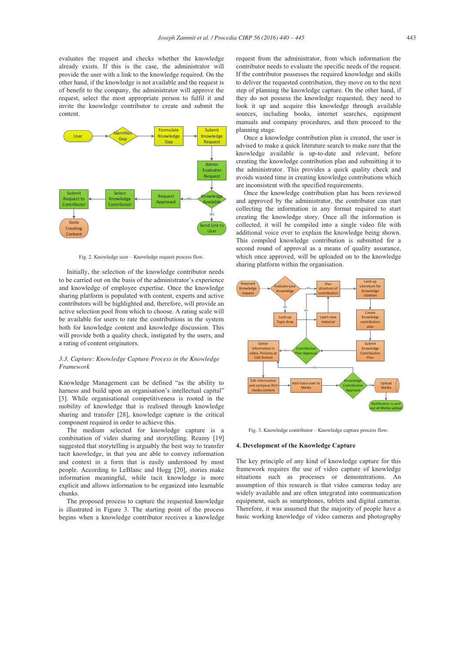evaluates the request and checks whether the knowledge already exists. If this is the case, the administrator will provide the user with a link to the knowledge required. On the other hand, if the knowledge is not available and the request is of benefit to the company, the administrator will approve the request, select the most appropriate person to fulfil it and invite the knowledge contributor to create and submit the content.



Fig. 2. Knowledge user – Knowledge request process flow.

Initially, the selection of the knowledge contributor needs to be carried out on the basis of the administrator's experience and knowledge of employee expertise. Once the knowledge sharing platform is populated with content, experts and active contributors will be highlighted and, therefore, will provide an active selection pool from which to choose. A rating scale will be available for users to rate the contributions in the system both for knowledge content and knowledge discussion. This will provide both a quality check, instigated by the users, and a rating of content originators.

#### *3.3. Capture: Knowledge Capture Process in the Knowledge Framework*

Knowledge Management can be defined "as the ability to harness and build upon an organisation's intellectual capital" [3]. While organisational competitiveness is rooted in the mobility of knowledge that is realised through knowledge sharing and transfer [28], knowledge capture is the critical component required in order to achieve this.

The medium selected for knowledge capture is a combination of video sharing and storytelling. Reamy [19] suggested that storytelling is arguably the best way to transfer tacit knowledge, in that you are able to convey information and context in a form that is easily understood by most people. According to LeBlanc and Hogg [20], stories make information meaningful, while tacit knowledge is more explicit and allows information to be organized into learnable chunks.

The proposed process to capture the requested knowledge is illustrated in Figure 3. The starting point of the process begins when a knowledge contributor receives a knowledge request from the administrator, from which information the contributor needs to evaluate the specific needs of the request. If the contributor possesses the required knowledge and skills to deliver the requested contribution, they move on to the next step of planning the knowledge capture. On the other hand, if they do not possess the knowledge requested, they need to look it up and acquire this knowledge through available sources, including books, internet searches, equipment manuals and company procedures, and then proceed to the planning stage.

Once a knowledge contribution plan is created, the user is advised to make a quick literature search to make sure that the knowledge available is up-to-date and relevant, before creating the knowledge contribution plan and submitting it to the administrator. This provides a quick quality check and avoids wasted time in creating knowledge contributions which are inconsistent with the specified requirements.

Once the knowledge contribution plan has been reviewed and approved by the administrator, the contributor can start collecting the information in any format required to start creating the knowledge story. Once all the information is collected, it will be compiled into a single video file with additional voice over to explain the knowledge being shown. This compiled knowledge contribution is submitted for a second round of approval as a means of quality assurance, which once approved, will be uploaded on to the knowledge sharing platform within the organisation.



Fig. 3. Knowledge contributor – Knowledge capture process flow.

#### **4. Development of the Knowledge Capture**

The key principle of any kind of knowledge capture for this framework requires the use of video capture of knowledge situations such as processes or demonstrations. An assumption of this research is that video cameras today are widely available and are often integrated into communication equipment, such as smartphones, tablets and digital cameras. Therefore, it was assumed that the majority of people have a basic working knowledge of video cameras and photography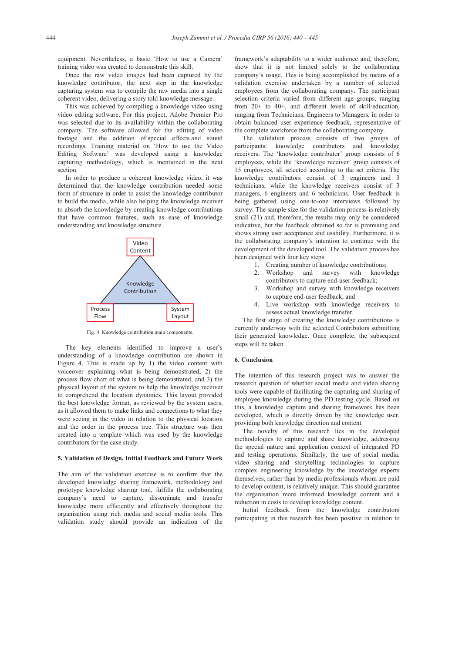equipment. Nevertheless, a basic 'How to use a Camera' training video was created to demonstrate this skill.

Once the raw video images had been captured by the knowledge contributor, the next step in the knowledge capturing system was to compile the raw media into a single coherent video, delivering a story told knowledge message.

This was achieved by compiling a knowledge video using video editing software. For this project, Adobe Premier Pro was selected due to its availability within the collaborating company. The software allowed for the editing of video footage and the addition of special effects and sound recordings. Training material on 'How to use the Video Editing Software' was developed using a knowledge capturing methodology, which is mentioned in the next section.

In order to produce a coherent knowledge video, it was determined that the knowledge contribution needed some form of structure in order to assist the knowledge contributor to build the media, while also helping the knowledge receiver to absorb the knowledge by creating knowledge contributions that have common features, such as ease of knowledge understanding and knowledge structure.



Fig. 4. Knowledge contribution main components.

The key elements identified to improve a user's understanding of a knowledge contribution are shown in Figure 4. This is made up by 1) the video content with voiceover explaining what is being demonstrated, 2) the process flow chart of what is being demonstrated, and 3) the physical layout of the system to help the knowledge receiver to comprehend the location dynamics. This layout provided the best knowledge format, as reviewed by the system users, as it allowed them to make links and connections to what they were seeing in the video in relation to the physical location and the order in the process tree. This structure was then created into a template which was used by the knowledge contributors for the case study.

#### **5. Validation of Design, Initial Feedback and Future Work**

The aim of the validation exercise is to confirm that the developed knowledge sharing framework, methodology and prototype knowledge sharing tool, fulfills the collaborating company's need to capture, disseminate and transfer knowledge more efficiently and effectively throughout the organisation using rich media and social media tools. This validation study should provide an indication of the framework's adaptability to a wider audience and, therefore, show that it is not limited solely to the collaborating company's usage. This is being accomplished by means of a validation exercise undertaken by a number of selected employees from the collaborating company. The participant selection criteria varied from different age groups, ranging from 20+ to 40+, and different levels of skill/education, ranging from Technicians, Engineers to Managers, in order to obtain balanced user experience feedback, representative of the complete workforce from the collaborating company.

The validation process consists of two groups of participants: knowledge contributors and knowledge receivers. The 'knowledge contributor' group consists of 6 employees, while the 'knowledge receiver' group consists of 15 employees, all selected according to the set criteria. The knowledge contributors consist of 3 engineers and 3 technicians, while the knowledge receivers consist of 3 managers, 6 engineers and 6 technicians. User feedback is being gathered using one-to-one interviews followed by survey. The sample size for the validation process is relatively small (21) and, therefore, the results may only be considered indicative, but the feedback obtained so far is promising and shows strong user acceptance and usability. Furthermore, it is the collaborating company's intention to continue with the development of the developed tool. The validation process has been designed with four key steps:

- 
- 1. Creating number of knowledge contributions;<br>2. Workshop and survey with knowledge 2. Workshop and survey with contributors to capture end-user feedback;
- 3. Workshop and survey with knowledge receivers to capture end-user feedback; and
- 4. Live workshop with knowledge receivers to assess actual knowledge transfer.

The first stage of creating the knowledge contributions is currently underway with the selected Contributors submitting their generated knowledge. Once complete, the subsequent steps will be taken.

## **6. Conclusion**

The intention of this research project was to answer the research question of whether social media and video sharing tools were capable of facilitating the capturing and sharing of employee knowledge during the PD testing cycle. Based on this, a knowledge capture and sharing framework has been developed, which is directly driven by the knowledge user, providing both knowledge direction and content.

The novelty of this research lies in the developed methodologies to capture and share knowledge, addressing the special nature and application context of integrated PD and testing operations. Similarly, the use of social media, video sharing and storytelling technologies to capture complex engineering knowledge by the knowledge experts themselves, rather than by media professionals whom are paid to develop content, is relatively unique. This should guarantee the organisation more informed knowledge content and a reduction in costs to develop knowledge content.

Initial feedback from the knowledge contributors participating in this research has been positive in relation to